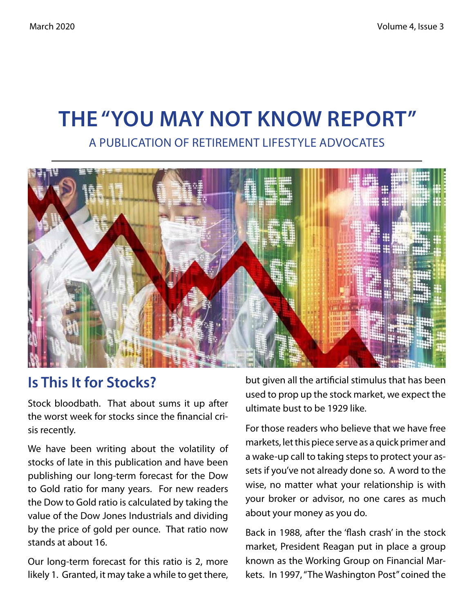# **The "You May Not Know Report"** A Publication of Retirement Lifestyle Advocates



#### **Is This It for Stocks?**

Stock bloodbath. That about sums it up after the worst week for stocks since the financial crisis recently.

We have been writing about the volatility of stocks of late in this publication and have been publishing our long-term forecast for the Dow to Gold ratio for many years. For new readers the Dow to Gold ratio is calculated by taking the value of the Dow Jones Industrials and dividing by the price of gold per ounce. That ratio now stands at about 16.

Our long-term forecast for this ratio is 2, more likely 1. Granted, it may take a while to get there, but given all the artificial stimulus that has been used to prop up the stock market, we expect the ultimate bust to be 1929 like.

For those readers who believe that we have free markets, let this piece serve as a quick primer and a wake-up call to taking steps to protect your assets if you've not already done so. A word to the wise, no matter what your relationship is with your broker or advisor, no one cares as much about your money as you do.

Back in 1988, after the 'flash crash' in the stock market, President Reagan put in place a group known as the Working Group on Financial Markets. In 1997, "The Washington Post" coined the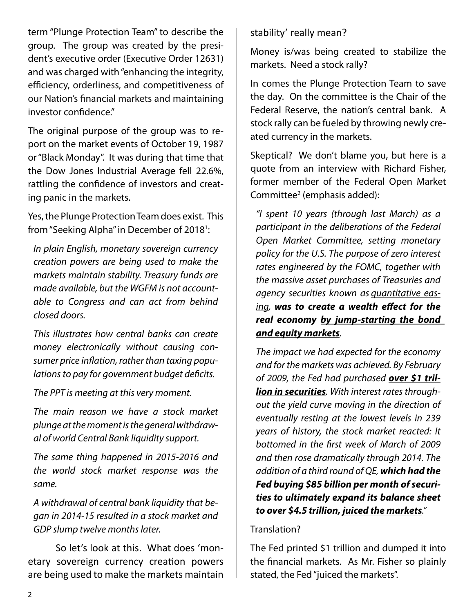term "Plunge Protection Team" to describe the group. The group was created by the president's executive order (Executive Order 12631) and was charged with "enhancing the integrity, efficiency, orderliness, and competitiveness of our Nation's financial markets and maintaining investor confidence."

The original purpose of the group was to report on the market events of October 19, 1987 or "Black Monday". It was during that time that the Dow Jones Industrial Average fell 22.6%, rattling the confidence of investors and creating panic in the markets.

Yes, the Plunge Protection Team does exist. This from "Seeking Alpha" in December of 2018<sup>1</sup>:

*In plain English, monetary sovereign currency creation powers are being used to make the markets maintain stability. Treasury funds are made available, but the WGFM is not accountable to Congress and can act from behind closed doors.*

*This illustrates how central banks can create money electronically without causing consumer price inflation, rather than taxing populations to pay for government budget deficits.*

*The PPT is meeting at this very moment.*

*The main reason we have a stock market plunge at the moment is the general withdrawal of world Central Bank liquidity support.*

*The same thing happened in 2015-2016 and the world stock market response was the same.*

*A withdrawal of central bank liquidity that began in 2014-15 resulted in a stock market and GDP slump twelve months later.*

So let's look at this. What does 'monetary sovereign currency creation powers are being used to make the markets maintain stability' really mean?

Money is/was being created to stabilize the markets. Need a stock rally?

In comes the Plunge Protection Team to save the day. On the committee is the Chair of the Federal Reserve, the nation's central bank. A stock rally can be fueled by throwing newly created currency in the markets.

Skeptical? We don't blame you, but here is a quote from an interview with Richard Fisher, former member of the Federal Open Market Committee<sup>2</sup> (emphasis added):

*"I spent 10 years (through last March) as a participant in the deliberations of the Federal Open Market Committee, setting monetary policy for the U.S. The purpose of zero interest rates engineered by the FOMC, together with the massive asset purchases of Treasuries and agency securities known as quantitative easing, was to create a wealth effect for the real economy by jump-starting the bond and equity markets.*

*The impact we had expected for the economy and for the markets was achieved. By February of 2009, the Fed had purchased over \$1 trillion in securities. With interest rates throughout the yield curve moving in the direction of eventually resting at the lowest levels in 239 years of history, the stock market reacted: It bottomed in the first week of March of 2009 and then rose dramatically through 2014. The addition of a third round of QE, which had the Fed buying \$85 billion per month of securities to ultimately expand its balance sheet to over \$4.5 trillion, juiced the markets."*

#### Translation?

The Fed printed \$1 trillion and dumped it into the financial markets. As Mr. Fisher so plainly stated, the Fed "juiced the markets".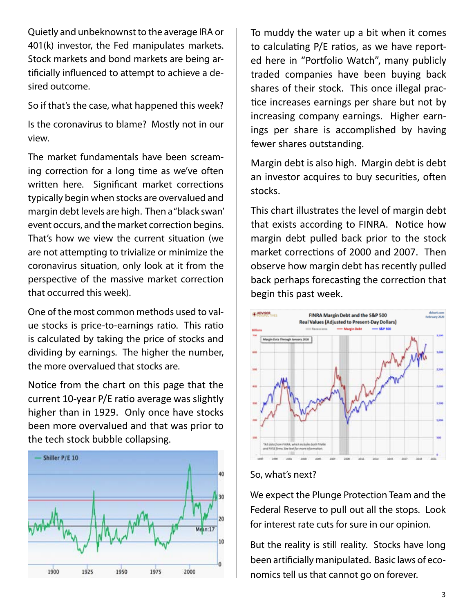Quietly and unbeknownst to the average IRA or 401(k) investor, the Fed manipulates markets. Stock markets and bond markets are being artificially influenced to attempt to achieve a desired outcome.

So if that's the case, what happened this week?

Is the coronavirus to blame? Mostly not in our view.

The market fundamentals have been screaming correction for a long time as we've often written here. Significant market corrections typically begin when stocks are overvalued and margin debt levels are high. Then a "black swan' event occurs, and the market correction begins. That's how we view the current situation (we are not attempting to trivialize or minimize the coronavirus situation, only look at it from the perspective of the massive market correction that occurred this week).

One of the most common methods used to value stocks is price-to-earnings ratio. This ratio is calculated by taking the price of stocks and dividing by earnings. The higher the number, the more overvalued that stocks are.

Notice from the chart on this page that the current 10-year P/E ratio average was slightly higher than in 1929. Only once have stocks been more overvalued and that was prior to the tech stock bubble collapsing.



To muddy the water up a bit when it comes to calculating P/E ratios, as we have reported here in "Portfolio Watch", many publicly traded companies have been buying back shares of their stock. This once illegal practice increases earnings per share but not by increasing company earnings. Higher earnings per share is accomplished by having fewer shares outstanding.

Margin debt is also high. Margin debt is debt an investor acquires to buy securities, often stocks.

This chart illustrates the level of margin debt that exists according to FINRA. Notice how margin debt pulled back prior to the stock market corrections of 2000 and 2007. Then observe how margin debt has recently pulled back perhaps forecasting the correction that begin this past week.



So, what's next?

We expect the Plunge Protection Team and the Federal Reserve to pull out all the stops. Look for interest rate cuts for sure in our opinion.

But the reality is still reality. Stocks have long been artificially manipulated. Basic laws of economics tell us that cannot go on forever.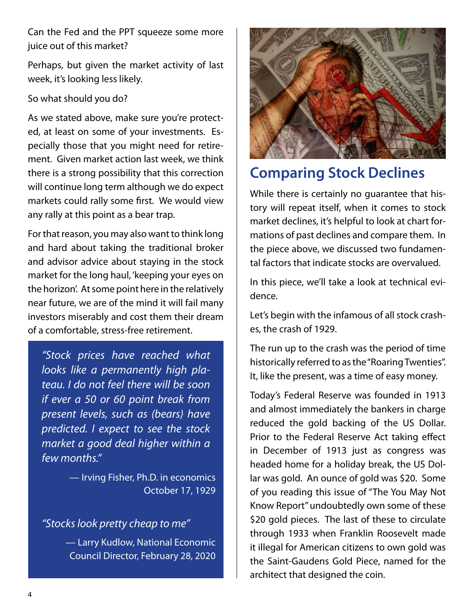Can the Fed and the PPT squeeze some more juice out of this market?

Perhaps, but given the market activity of last week, it's looking less likely.

#### So what should you do?

As we stated above, make sure you're protected, at least on some of your investments. Especially those that you might need for retirement. Given market action last week, we think there is a strong possibility that this correction will continue long term although we do expect markets could rally some first. We would view any rally at this point as a bear trap.

For that reason, you may also want to think long and hard about taking the traditional broker and advisor advice about staying in the stock market for the long haul, 'keeping your eyes on the horizon'. At some point here in the relatively near future, we are of the mind it will fail many investors miserably and cost them their dream of a comfortable, stress-free retirement.

*"Stock prices have reached what looks like a permanently high plateau. I do not feel there will be soon if ever a 50 or 60 point break from present levels, such as (bears) have predicted. I expect to see the stock market a good deal higher within a few months."*

> — Irving Fisher, Ph.D. in economics October 17, 1929

#### *"Stocks look pretty cheap to me"*

— Larry Kudlow, National Economic Council Director, February 28, 2020



### **Comparing Stock Declines**

While there is certainly no guarantee that history will repeat itself, when it comes to stock market declines, it's helpful to look at chart formations of past declines and compare them. In the piece above, we discussed two fundamental factors that indicate stocks are overvalued.

In this piece, we'll take a look at technical evidence.

Let's begin with the infamous of all stock crashes, the crash of 1929.

The run up to the crash was the period of time historically referred to as the "Roaring Twenties". It, like the present, was a time of easy money.

Today's Federal Reserve was founded in 1913 and almost immediately the bankers in charge reduced the gold backing of the US Dollar. Prior to the Federal Reserve Act taking effect in December of 1913 just as congress was headed home for a holiday break, the US Dollar was gold. An ounce of gold was \$20. Some of you reading this issue of "The You May Not Know Report" undoubtedly own some of these \$20 gold pieces. The last of these to circulate through 1933 when Franklin Roosevelt made it illegal for American citizens to own gold was the Saint-Gaudens Gold Piece, named for the architect that designed the coin.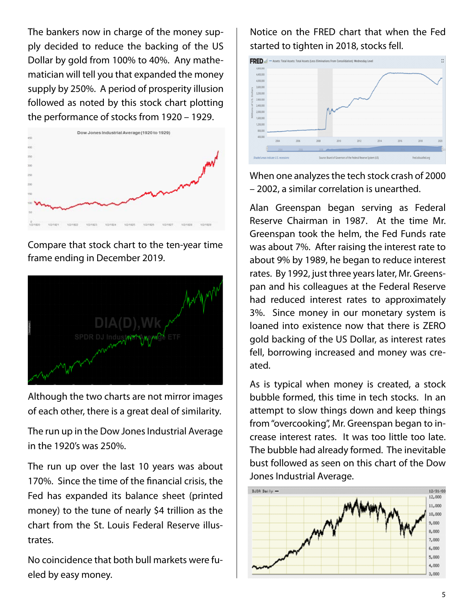The bankers now in charge of the money supply decided to reduce the backing of the US Dollar by gold from 100% to 40%. Any mathematician will tell you that expanded the money supply by 250%. A period of prosperity illusion followed as noted by this stock chart plotting the performance of stocks from 1920 – 1929.



Compare that stock chart to the ten-year time frame ending in December 2019.



Although the two charts are not mirror images of each other, there is a great deal of similarity.

The run up in the Dow Jones Industrial Average in the 1920's was 250%.

The run up over the last 10 years was about 170%. Since the time of the financial crisis, the Fed has expanded its balance sheet (printed money) to the tune of nearly \$4 trillion as the chart from the St. Louis Federal Reserve illustrates.

No coincidence that both bull markets were fueled by easy money.

Notice on the FRED chart that when the Fed started to tighten in 2018, stocks fell.



When one analyzes the tech stock crash of 2000 – 2002, a similar correlation is unearthed.

Alan Greenspan began serving as Federal Reserve Chairman in 1987. At the time Mr. Greenspan took the helm, the Fed Funds rate was about 7%. After raising the interest rate to about 9% by 1989, he began to reduce interest rates. By 1992, just three years later, Mr. Greenspan and his colleagues at the Federal Reserve had reduced interest rates to approximately 3%. Since money in our monetary system is loaned into existence now that there is ZERO gold backing of the US Dollar, as interest rates fell, borrowing increased and money was created.

As is typical when money is created, a stock bubble formed, this time in tech stocks. In an attempt to slow things down and keep things from "overcooking", Mr. Greenspan began to increase interest rates. It was too little too late. The bubble had already formed. The inevitable bust followed as seen on this chart of the Dow Jones Industrial Average.

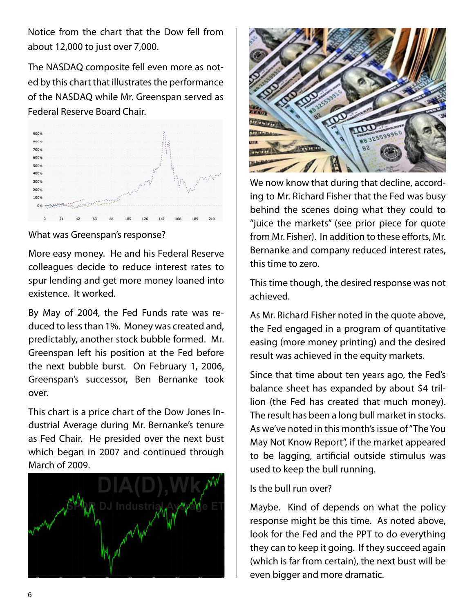Notice from the chart that the Dow fell from about 12,000 to just over 7,000.

The NASDAQ composite fell even more as noted by this chart that illustrates the performance of the NASDAQ while Mr. Greenspan served as Federal Reserve Board Chair.



What was Greenspan's response?

More easy money. He and his Federal Reserve colleagues decide to reduce interest rates to spur lending and get more money loaned into existence. It worked.

By May of 2004, the Fed Funds rate was reduced to less than 1%. Money was created and, predictably, another stock bubble formed. Mr. Greenspan left his position at the Fed before the next bubble burst. On February 1, 2006, Greenspan's successor, Ben Bernanke took over.

This chart is a price chart of the Dow Jones Industrial Average during Mr. Bernanke's tenure as Fed Chair. He presided over the next bust which began in 2007 and continued through March of 2009.





We now know that during that decline, according to Mr. Richard Fisher that the Fed was busy behind the scenes doing what they could to "juice the markets" (see prior piece for quote from Mr. Fisher). In addition to these efforts, Mr. Bernanke and company reduced interest rates, this time to zero.

This time though, the desired response was not achieved.

As Mr. Richard Fisher noted in the quote above, the Fed engaged in a program of quantitative easing (more money printing) and the desired result was achieved in the equity markets.

Since that time about ten years ago, the Fed's balance sheet has expanded by about \$4 trillion (the Fed has created that much money). The result has been a long bull market in stocks. As we've noted in this month's issue of "The You May Not Know Report", if the market appeared to be lagging, artificial outside stimulus was used to keep the bull running.

#### Is the bull run over?

Maybe. Kind of depends on what the policy response might be this time. As noted above, look for the Fed and the PPT to do everything they can to keep it going. If they succeed again (which is far from certain), the next bust will be even bigger and more dramatic.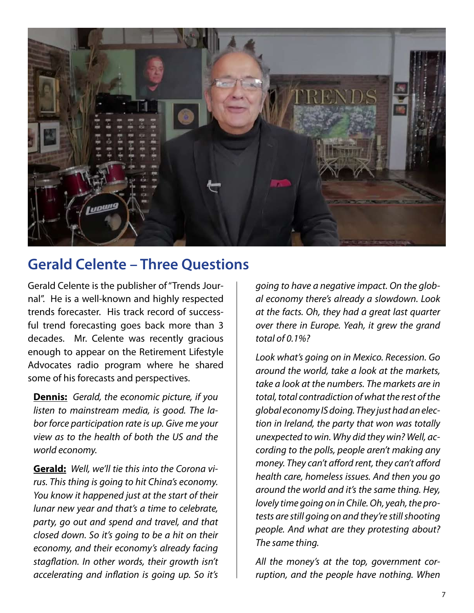

### **Gerald Celente – Three Questions**

Gerald Celente is the publisher of "Trends Journal". He is a well-known and highly respected trends forecaster. His track record of successful trend forecasting goes back more than 3 decades. Mr. Celente was recently gracious enough to appear on the Retirement Lifestyle Advocates radio program where he shared some of his forecasts and perspectives.

**Dennis:** *Gerald, the economic picture, if you listen to mainstream media, is good. The labor force participation rate is up. Give me your view as to the health of both the US and the world economy.* 

**Gerald:** *Well, we'll tie this into the Corona virus. This thing is going to hit China's economy. You know it happened just at the start of their lunar new year and that's a time to celebrate, party, go out and spend and travel, and that closed down. So it's going to be a hit on their economy, and their economy's already facing stagflation. In other words, their growth isn't accelerating and inflation is going up. So it's* 

*going to have a negative impact. On the global economy there's already a slowdown. Look at the facts. Oh, they had a great last quarter over there in Europe. Yeah, it grew the grand total of 0.1%?* 

*Look what's going on in Mexico. Recession. Go around the world, take a look at the markets, take a look at the numbers. The markets are in total, total contradiction of what the rest of the global economy IS doing. They just had an election in Ireland, the party that won was totally unexpected to win. Why did they win? Well, according to the polls, people aren't making any money. They can't afford rent, they can't afford health care, homeless issues. And then you go around the world and it's the same thing. Hey, lovely time going on in Chile. Oh, yeah, the protests are still going on and they're still shooting people. And what are they protesting about? The same thing.* 

*All the money's at the top, government corruption, and the people have nothing. When*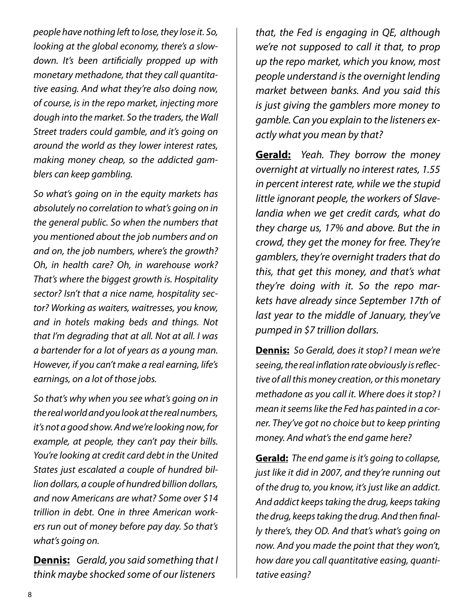*people have nothing left to lose, they lose it. So, looking at the global economy, there's a slowdown. It's been artificially propped up with monetary methadone, that they call quantitative easing. And what they're also doing now, of course, is in the repo market, injecting more dough into the market. So the traders, the Wall Street traders could gamble, and it's going on around the world as they lower interest rates, making money cheap, so the addicted gamblers can keep gambling.* 

*So what's going on in the equity markets has absolutely no correlation to what's going on in the general public. So when the numbers that you mentioned about the job numbers and on and on, the job numbers, where's the growth? Oh, in health care? Oh, in warehouse work? That's where the biggest growth is. Hospitality sector? Isn't that a nice name, hospitality sector? Working as waiters, waitresses, you know, and in hotels making beds and things. Not that I'm degrading that at all. Not at all. I was a bartender for a lot of years as a young man. However, if you can't make a real earning, life's earnings, on a lot of those jobs.* 

*So that's why when you see what's going on in the real world and you look at the real numbers, it's not a good show. And we're looking now, for example, at people, they can't pay their bills. You're looking at credit card debt in the United States just escalated a couple of hundred billion dollars, a couple of hundred billion dollars, and now Americans are what? Some over \$14 trillion in debt. One in three American workers run out of money before pay day. So that's what's going on.* 

**Dennis:** *Gerald, you said something that I think maybe shocked some of our listeners* 

*that, the Fed is engaging in QE, although we're not supposed to call it that, to prop up the repo market, which you know, most people understand is the overnight lending market between banks. And you said this is just giving the gamblers more money to gamble. Can you explain to the listeners exactly what you mean by that?* 

**Gerald:** *Yeah. They borrow the money overnight at virtually no interest rates, 1.55 in percent interest rate, while we the stupid little ignorant people, the workers of Slavelandia when we get credit cards, what do they charge us, 17% and above. But the in crowd, they get the money for free. They're gamblers, they're overnight traders that do this, that get this money, and that's what they're doing with it. So the repo markets have already since September 17th of last year to the middle of January, they've pumped in \$7 trillion dollars.* 

**Dennis:** *So Gerald, does it stop? I mean we're seeing, the real inflation rate obviously is reflective of all this money creation, or this monetary methadone as you call it. Where does it stop? I mean it seems like the Fed has painted in a corner. They've got no choice but to keep printing money. And what's the end game here?* 

**Gerald:** *The end game is it's going to collapse, just like it did in 2007, and they're running out of the drug to, you know, it's just like an addict. And addict keeps taking the drug, keeps taking the drug, keeps taking the drug. And then finally there's, they OD. And that's what's going on now. And you made the point that they won't, how dare you call quantitative easing, quantitative easing?*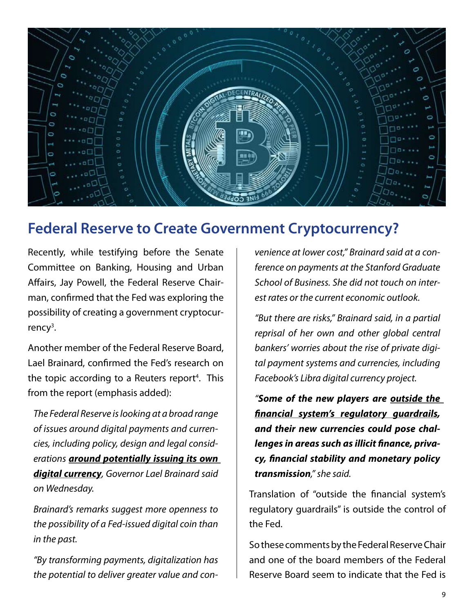

### **Federal Reserve to Create Government Cryptocurrency?**

Recently, while testifying before the Senate Committee on Banking, Housing and Urban Affairs, Jay Powell, the Federal Reserve Chairman, confirmed that the Fed was exploring the possibility of creating a government cryptocur $r$ ency<sup>3</sup>.

Another member of the Federal Reserve Board, Lael Brainard, confirmed the Fed's research on the topic according to a Reuters report<sup>4</sup>. This from the report (emphasis added):

*The Federal Reserve is looking at a broad range of issues around digital payments and currencies, including policy, design and legal considerations around potentially issuing its own digital currency, Governor Lael Brainard said on Wednesday.*

*Brainard's remarks suggest more openness to the possibility of a Fed-issued digital coin than in the past.*

*"By transforming payments, digitalization has the potential to deliver greater value and con-* *venience at lower cost," Brainard said at a conference on payments at the Stanford Graduate School of Business. She did not touch on interest rates or the current economic outlook.*

*"But there are risks," Brainard said, in a partial reprisal of her own and other global central bankers' worries about the rise of private digital payment systems and currencies, including Facebook's Libra digital currency project.*

*"Some of the new players are outside the financial system's regulatory guardrails, and their new currencies could pose challenges in areas such as illicit finance, privacy, financial stability and monetary policy transmission," she said.*

Translation of "outside the financial system's regulatory guardrails" is outside the control of the Fed.

So these comments by the Federal Reserve Chair and one of the board members of the Federal Reserve Board seem to indicate that the Fed is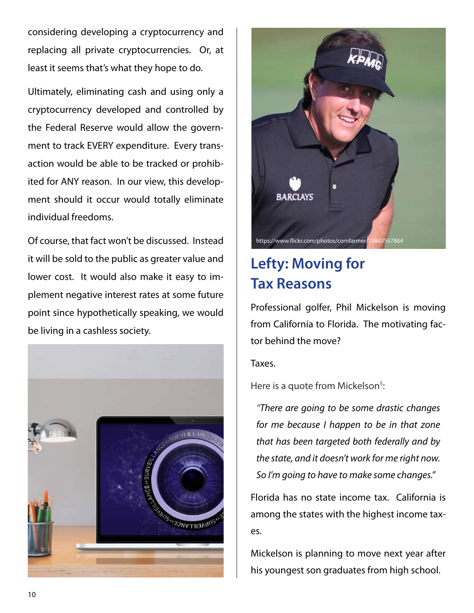considering developing a cryptocurrency and replacing all private cryptocurrencies. Or, at least it seems that's what they hope to do.

Ultimately, eliminating cash and using only a cryptocurrency developed and controlled by the Federal Reserve would allow the government to track EVERY expenditure. Every transaction would be able to be tracked or prohibited for ANY reason. In our view, this development should it occur would totally eliminate individual freedoms.

Of course, that fact won't be discussed. Instead it will be sold to the public as greater value and lower cost. It would also make it easy to implement negative interest rates at some future point since hypothetically speaking, we would be living in a cashless society.





# **Lefty: Moving for Tax Reasons**

Professional golfer, Phil Mickelson is moving from California to Florida. The motivating factor behind the move?

Taxes.

Here is a quote from Mickelson<sup>5</sup>:

*"There are going to be some drastic changes for me because I happen to be in that zone that has been targeted both federally and by the state, and it doesn't work for me right now. So I'm going to have to make some changes."*

Florida has no state income tax. California is among the states with the highest income taxes.

Mickelson is planning to move next year after his youngest son graduates from high school.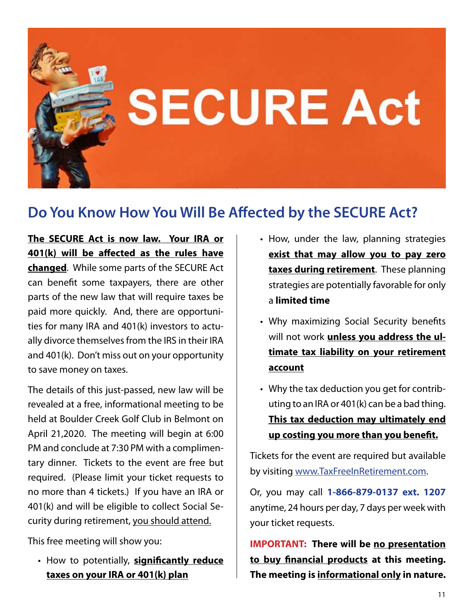

### **Do You Know How You Will Be Affected by the SECURE Act?**

**The SECURE Act is now law. Your IRA or 401(k) will be affected as the rules have changed**. While some parts of the SECURE Act can benefit some taxpayers, there are other parts of the new law that will require taxes be paid more quickly. And, there are opportunities for many IRA and 401(k) investors to actually divorce themselves from the IRS in their IRA and 401(k). Don't miss out on your opportunity to save money on taxes.

The details of this just-passed, new law will be revealed at a free, informational meeting to be held at Boulder Creek Golf Club in Belmont on April 21,2020. The meeting will begin at 6:00 PM and conclude at 7:30 PM with a complimentary dinner. Tickets to the event are free but required. (Please limit your ticket requests to no more than 4 tickets.) If you have an IRA or 401(k) and will be eligible to collect Social Security during retirement, you should attend.

This free meeting will show you:

**• How to potentially, significantly reduce taxes on your IRA or 401(k) plan**

- How, under the law, planning strategies **exist that may allow you to pay zero taxes during retirement**. These planning strategies are potentially favorable for only a **limited time**
- Why maximizing Social Security benefits will not work **unless you address the ultimate tax liability on your retirement account**
- Why the tax deduction you get for contrib-•uting to an IRA or 401(k) can be a bad thing. **This tax deduction may ultimately end up costing you more than you benefit.**

Tickets for the event are required but available by visiting www.TaxFreeInRetirement.com.

Or, you may call **1-866-879-0137 ext. 1207** anytime, 24 hours per day, 7 days per week with your ticket requests.

**IMPORTANT: There will be no presentation to buy financial products at this meeting. The meeting is informational only in nature.**